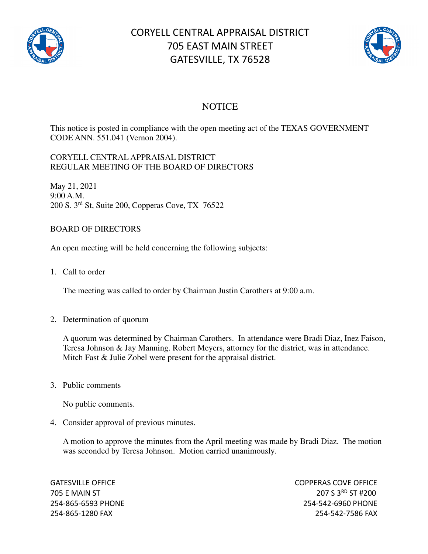

## CORYELL CENTRAL APPRAISAL DISTRICT 705 EAST MAIN STREET GATESVILLE, TX 76528



## **NOTICE**

This notice is posted in compliance with the open meeting act of the TEXAS GOVERNMENT CODE ANN. 551.041 (Vernon 2004).

## CORYELL CENTRAL APPRAISAL DISTRICT REGULAR MEETING OF THE BOARD OF DIRECTORS

May 21, 2021 9:00 A.M. 200 S. 3rd St, Suite 200, Copperas Cove, TX 76522

## BOARD OF DIRECTORS

An open meeting will be held concerning the following subjects:

1. Call to order

The meeting was called to order by Chairman Justin Carothers at 9:00 a.m.

2. Determination of quorum

A quorum was determined by Chairman Carothers. In attendance were Bradi Diaz, Inez Faison, Teresa Johnson & Jay Manning. Robert Meyers, attorney for the district, was in attendance. Mitch Fast & Julie Zobel were present for the appraisal district.

3. Public comments

No public comments.

4. Consider approval of previous minutes.

A motion to approve the minutes from the April meeting was made by Bradi Diaz. The motion was seconded by Teresa Johnson. Motion carried unanimously.

GATESVILLE OFFICE **COPPERAS COVE OF EXAMPLE 2** 705 E MAIN ST 207 S 3RD ST #200 254-865-6593 PHONE 254-542-6960 PHONE 254-865-1280 FAX 254-542-7586 FAX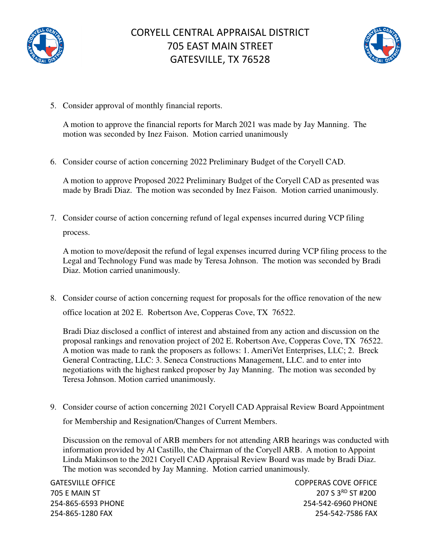



5. Consider approval of monthly financial reports.

A motion to approve the financial reports for March 2021 was made by Jay Manning. The motion was seconded by Inez Faison. Motion carried unanimously

6. Consider course of action concerning 2022 Preliminary Budget of the Coryell CAD.

A motion to approve Proposed 2022 Preliminary Budget of the Coryell CAD as presented was made by Bradi Diaz. The motion was seconded by Inez Faison. Motion carried unanimously.

7. Consider course of action concerning refund of legal expenses incurred during VCP filing process.

A motion to move/deposit the refund of legal expenses incurred during VCP filing process to the Legal and Technology Fund was made by Teresa Johnson. The motion was seconded by Bradi Diaz. Motion carried unanimously.

8. Consider course of action concerning request for proposals for the office renovation of the new office location at 202 E. Robertson Ave, Copperas Cove, TX 76522.

Bradi Diaz disclosed a conflict of interest and abstained from any action and discussion on the proposal rankings and renovation project of 202 E. Robertson Ave, Copperas Cove, TX 76522. A motion was made to rank the proposers as follows: 1. AmeriVet Enterprises, LLC; 2. Breck General Contracting, LLC: 3. Seneca Constructions Management, LLC. and to enter into negotiations with the highest ranked proposer by Jay Manning. The motion was seconded by Teresa Johnson. Motion carried unanimously.

9. Consider course of action concerning 2021 Coryell CAD Appraisal Review Board Appointment for Membership and Resignation/Changes of Current Members.

Discussion on the removal of ARB members for not attending ARB hearings was conducted with information provided by Al Castillo, the Chairman of the Coryell ARB. A motion to Appoint Linda Makinson to the 2021 Coryell CAD Appraisal Review Board was made by Bradi Diaz. The motion was seconded by Jay Manning. Motion carried unanimously.

GATESVILLE OFFICE **COPPERAS COVE OF EXAMPLE 2** 705 E MAIN ST 207 S 3RD ST #200 254-865-6593 PHONE 254-542-6960 PHONE 254-865-1280 FAX 254-542-7586 FAX